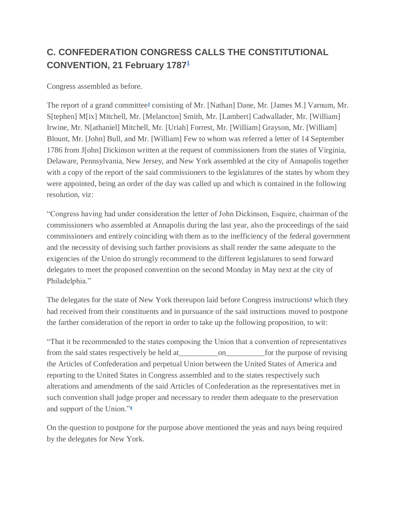## **C. CONFEDERATION CONGRESS CALLS THE CONSTITUTIONAL CONVENTION, 21 February 1787[1](http://rotunda.upress.virginia.edu/founders/default.xqy?keys=RNCN-print-01-01-02-0005-0004#RNCN-01-01-0076-fn-0001)**

Congress assembled as before.

The report of a grand committe[e](http://rotunda.upress.virginia.edu/founders/default.xqy?keys=RNCN-print-01-01-02-0005-0004#RNCN-01-01-0076-fn-0002)**<sup>2</sup>** consisting of Mr. [Nathan] Dane, Mr. [James M.] Varnum, Mr. S[tephen] M[ix] Mitchell, Mr. [Melancton] Smith, Mr. [Lambert] Cadwallader, Mr. [William] Irwine, Mr. N[athaniel] Mitchell, Mr. [Uriah] Forrest, Mr. [William] Grayson, Mr. [William] Blount, Mr. [John] Bull, and Mr. [William] Few to whom was referred a letter of 14 September 1786 from J[ohn] Dickinson written at the request of commissioners from the states of Virginia, Delaware, Pennsylvania, New Jersey, and New York assembled at the city of Annapolis together with a copy of the report of the said commissioners to the legislatures of the states by whom they were appointed, being an order of the day was called up and which is contained in the following resolution, viz:

"Congress having had under consideration the letter of John Dickinson, Esquire, chairman of the commissioners who assembled at Annapolis during the last year, also the proceedings of the said commissioners and entirely coinciding with them as to the inefficiency of the federal government and the necessity of devising such farther provisions as shall render the same adequate to the exigencies of the Union do strongly recommend to the different legislatures to send forward delegates to meet the proposed convention on the second Monday in May next at the city of Philadelphia."

The delegates for the state of New York thereupon laid before Congress instruction[s](http://rotunda.upress.virginia.edu/founders/default.xqy?keys=RNCN-print-01-01-02-0005-0004#RNCN-01-01-0076-fn-0003)**<sup>3</sup>** which they had received from their constituents and in pursuance of the said instructions moved to postpone the farther consideration of the report in order to take up the following proposition, to wit:

"That it be recommended to the states composing the Union that a convention of representatives from the said states respectively be held at\_\_\_\_\_\_\_\_\_\_on\_\_\_\_\_\_\_\_\_\_for the purpose of revising the Articles of Confederation and perpetual Union between the United States of America and reporting to the United States in Congress assembled and to the states respectively such alterations and amendments of the said Articles of Confederation as the representatives met in such convention shall judge proper and necessary to render them adequate to the preservation and support of the Union.["](http://rotunda.upress.virginia.edu/founders/default.xqy?keys=RNCN-print-01-01-02-0005-0004#RNCN-01-01-0076-fn-0004)**<sup>4</sup>**

On the question to postpone for the purpose above mentioned the yeas and nays being required by the delegates for New York.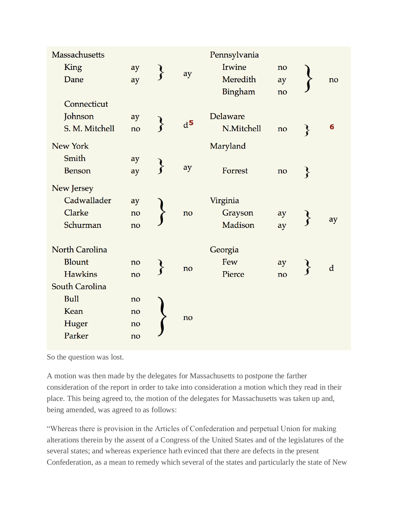| <b>Massachusetts</b>  |    |       | Pennsylvania |    |                    |             |
|-----------------------|----|-------|--------------|----|--------------------|-------------|
| King                  | ay |       | Irwine       | no |                    |             |
| Dane                  | ay | ay    | Meredith     | ay |                    | no          |
|                       |    |       | Bingham      | no |                    |             |
| Connecticut           |    |       |              |    |                    |             |
| Johnson               | ay | $d^5$ | Delaware     |    |                    |             |
| S. M. Mitchell        | no |       | N.Mitchell   | no | }                  | 6           |
| New York              |    |       | Maryland     |    |                    |             |
| Smith                 | ay |       |              |    |                    |             |
| <b>Benson</b>         | ay | ay    | Forrest      | no | $\left\{ \right\}$ |             |
| New Jersey            |    |       |              |    |                    |             |
| Cadwallader           | ay |       | Virginia     |    |                    |             |
| Clarke                | no | no    | Grayson      | ay |                    |             |
| Schurman              | no |       | Madison      | ay |                    | ay          |
| <b>North Carolina</b> |    |       | Georgia      |    |                    |             |
| <b>Blount</b>         | no |       | Few          | ay |                    |             |
| <b>Hawkins</b>        | no | no    | Pierce       | no |                    | $\mathbf d$ |
| South Carolina        |    |       |              |    |                    |             |
| <b>Bull</b>           | no |       |              |    |                    |             |
| Kean                  | no |       |              |    |                    |             |
| Huger                 | no | no    |              |    |                    |             |
| Parker                | no |       |              |    |                    |             |
|                       |    |       |              |    |                    |             |

So the question was lost.

A motion was then made by the delegates for Massachusetts to postpone the farther consideration of the report in order to take into consideration a motion which they read in their place. This being agreed to, the motion of the delegates for Massachusetts was taken up and, being amended, was agreed to as follows:

"Whereas there is provision in the Articles of Confederation and perpetual Union for making alterations therein by the assent of a Congress of the United States and of the legislatures of the several states; and whereas experience hath evinced that there are defects in the present Confederation, as a mean to remedy which several of the states and particularly the state of New